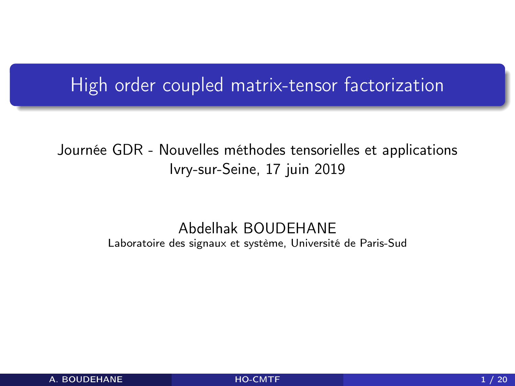### <span id="page-0-0"></span>High order coupled matrix-tensor factorization

#### Journée GDR - Nouvelles méthodes tensorielles et applications Ivry-sur-Seine, 17 juin 2019

#### Abdelhak BOUDEHANE Laboratoire des signaux et système, Université de Paris-Sud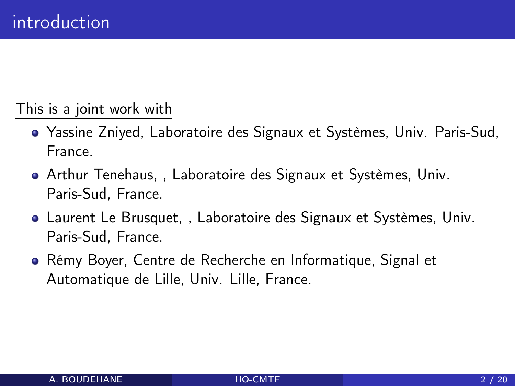This is a joint work with

- Yassine Zniyed, Laboratoire des Signaux et Systèmes, Univ. Paris-Sud, France.
- Arthur Tenehaus, , Laboratoire des Signaux et Systèmes, Univ. Paris-Sud, France.
- Laurent Le Brusquet, , Laboratoire des Signaux et Systèmes, Univ. Paris-Sud, France.
- Rémy Boyer, Centre de Recherche en Informatique, Signal et Automatique de Lille, Univ. Lille, France.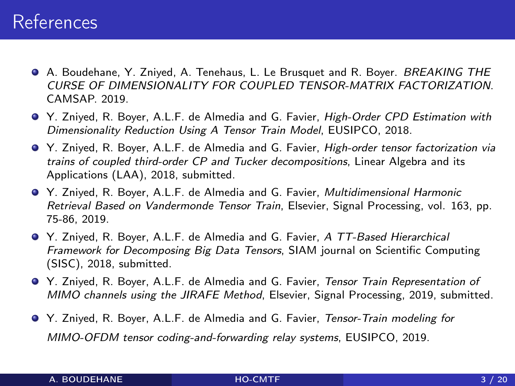#### References

- **A. Boudehane, Y. Zniyed, A. Tenehaus, L. Le Brusquet and R. Boyer. BREAKING THE** CURSE OF DIMENSIONALITY FOR COUPLED TENSOR-MATRIX FACTORIZATION. CAMSAP. 2019.
- Y. Zniyed, R. Boyer, A.L.F. de Almedia and G. Favier, High-Order CPD Estimation with Dimensionality Reduction Using A Tensor Train Model, EUSIPCO, 2018.
- Y. Zniyed, R. Boyer, A.L.F. de Almedia and G. Favier, High-order tensor factorization via trains of coupled third-order CP and Tucker decompositions, Linear Algebra and its Applications (LAA), 2018, submitted.
- Y. Zniyed, R. Boyer, A.L.F. de Almedia and G. Favier, Multidimensional Harmonic Retrieval Based on Vandermonde Tensor Train, Elsevier, Signal Processing, vol. 163, pp. 75-86, 2019.
- Y. Zniyed, R. Boyer, A.L.F. de Almedia and G. Favier, A TT-Based Hierarchical Framework for Decomposing Big Data Tensors, SIAM journal on Scientific Computing (SISC), 2018, submitted.
- Y. Zniyed, R. Boyer, A.L.F. de Almedia and G. Favier, Tensor Train Representation of MIMO channels using the JIRAFE Method, Elsevier, Signal Processing, 2019, submitted.
- Y. Zniyed, R. Boyer, A.L.F. de Almedia and G. Favier, Tensor-Train modeling for MIMO-OFDM tensor coding-and-forwarding relay systems, EUSIPCO, 2019.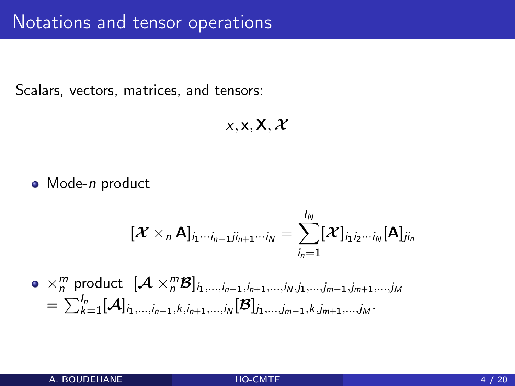Scalars, vectors, matrices, and tensors:

$$
x,\mathbf{x},\mathbf{X},\mathcal{X}
$$

• Mode-*n* product

$$
[\boldsymbol{\mathcal{X}}\times_{n} \mathsf{A}]_{i_{1}\cdots i_{n-1}j i_{n+1}\cdots i_{N}}=\sum_{i_{n}=1}^{I_{N}}[\boldsymbol{\mathcal{X}}]_{i_{1}i_{2}\cdots i_{N}}[\mathsf{A}]_{j i_{n}}
$$

 $\times_n^m$  product  $[\mathcal{A} \times_n^m \mathcal{B}]_{i_1,...,i_{n-1},i_{n+1},...,i_N,j_1,...,j_{m-1},j_{m+1},...,j_M}$  $=\sum_{k=1}^{I_n} [\mathcal{A}]_{i_1,...,i_{n-1},k,i_{n+1},...,i_{\mathsf{N}}}[\mathcal{B}]_{j_1,...,j_{m-1},k,j_{m+1},...,j_{\mathsf{M}}}.$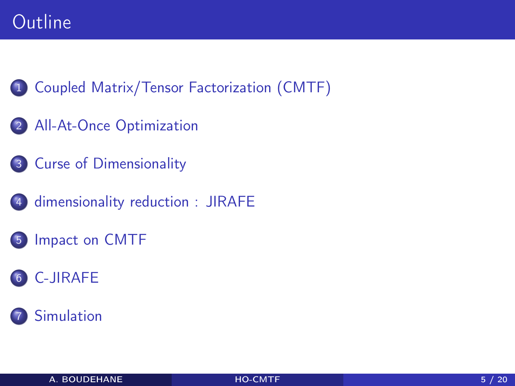### Outline

- [Coupled Matrix/Tensor Factorization \(CMTF\)](#page-5-0)
- [All-At-Once Optimization](#page-7-0)
- [Curse of Dimensionality](#page-8-0)
- [dimensionality reduction : JIRAFE](#page-9-0)
- [Impact on CMTF](#page-11-0)
- [C-JIRAFE](#page-15-0)
	- **[Simulation](#page-17-0)**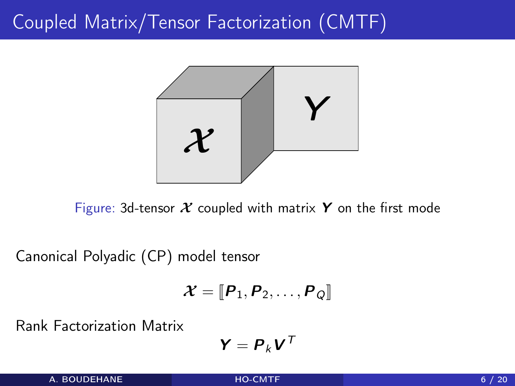## <span id="page-5-0"></span>Coupled Matrix/Tensor Factorization (CMTF)



Figure: 3d-tensor  $X$  coupled with matrix Y on the first mode

Canonical Polyadic (CP) model tensor

$$
\boldsymbol{\mathcal{X}} = [\![\boldsymbol{P}_1, \boldsymbol{P}_2, \ldots, \boldsymbol{P}_Q]\!]
$$

Rank Factorization Matrix

$$
\bm{Y} = \bm{P}_k \bm{V}^\mathsf{T}
$$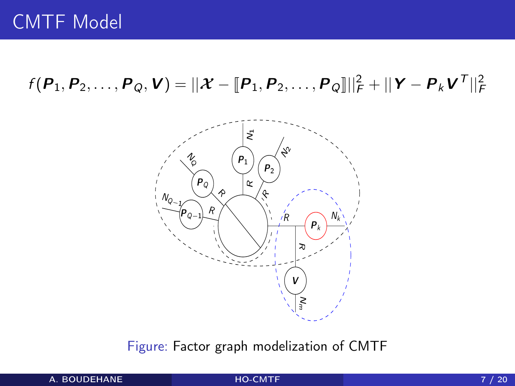$f(P_1, P_2, \ldots, P_Q, V) = ||X - [P_1, P_2, \ldots, P_Q]||_F^2 + ||Y - P_k V^T||_F^2$ 



Figure: Factor graph modelization of CMTF

A. BOUDEHANE [HO-CMTF](#page-0-0) HO-CMTF 7 / 20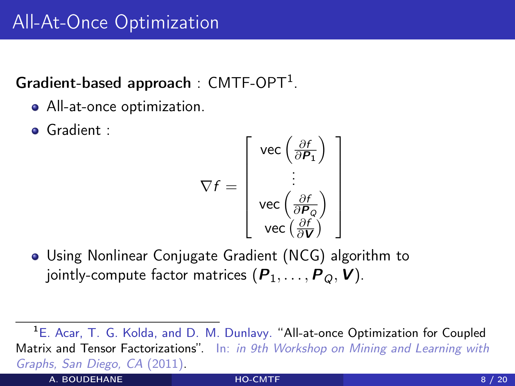#### <span id="page-7-0"></span>Gradient-based approach: CMTF-OPT<sup>1</sup>.

- All-at-once optimization.
- Gradient :

$$
\nabla f = \left[ \begin{array}{c} \text{vec}\left(\frac{\partial f}{\partial P_1}\right) \\ \vdots \\ \text{vec}\left(\frac{\partial f}{\partial P_Q}\right) \\ \text{vec}\left(\frac{\partial f}{\partial V}\right) \end{array} \right]
$$

Using Nonlinear Conjugate Gradient (NCG) algorithm to jointly-compute factor matrices  $(P_1, \ldots, P_Q, V)$ .

A. BOUDEHANE BUT AND [HO-CMTF](#page-0-0) AND ALL CONTRACTS AND A RESIDENCE AND A RESIDENCE AS A 20

<sup>&</sup>lt;sup>1</sup>E. Acar, T. G. Kolda, and D. M. Dunlavy. "All-at-once Optimization for Coupled Matrix and Tensor Factorizations". In: in 9th Workshop on Mining and Learning with Graphs, San Diego, CA (2011).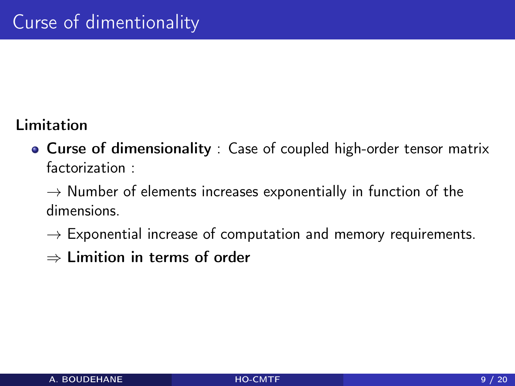#### <span id="page-8-0"></span>Limitation

Curse of dimensionality : Case of coupled high-order tensor matrix factorization :

 $\rightarrow$  Number of elements increases exponentially in function of the dimensions.

- $\rightarrow$  Exponential increase of computation and memory requirements.
- ⇒ Limition in terms of order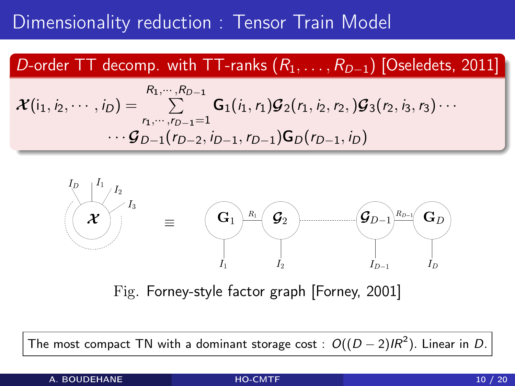### <span id="page-9-0"></span>Dimensionality reduction : Tensor Train Model

#### D-order TT decomp. with TT-ranks  $(R_1, \ldots, R_{D-1})$  [Oseledets, 2011]

$$
\mathcal{X}(i_1, i_2, \cdots, i_D) = \sum_{r_1, \cdots, r_{D-1}=1}^{R_1, \cdots, R_{D-1}} \mathbf{G}_1(i_1, r_1) \mathcal{G}_2(r_1, i_2, r_2,) \mathcal{G}_3(r_2, i_3, r_3) \cdots
$$

$$
\cdots \mathcal{G}_{D-1}(r_{D-2}, i_{D-1}, r_{D-1}) \mathbf{G}_D(r_{D-1}, i_D)
$$



Fig. Forney-style factor graph [Forney, 2001]

The most compact TN with a dominant storage cost :  $\mathit{O}((D-2)IR^2).$  Linear in  $D.$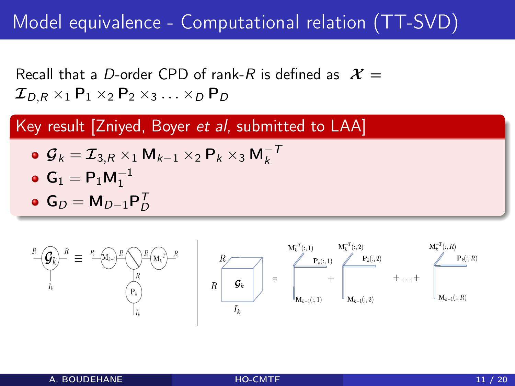## Model equivalence - Computational relation (TT-SVD)

Recall that a D-order CPD of rank-R is defined as  $X =$  $\mathcal{I}_{D,R} \times_1 \mathsf{P}_1 \times_2 \mathsf{P}_2 \times_3 \ldots \times_D \mathsf{P}_D$ 

Key result [Zniyed, Boyer et al, submitted to LAA]

$$
\bullet \, \mathcal{G}_k = \mathcal{I}_{3,R} \times_1 \mathsf{M}_{k-1} \times_2 \mathsf{P}_k \times_3 \mathsf{M}_k^{-1}
$$

$$
\bullet \ \mathsf{G}_1 = \mathsf{P}_1 \mathsf{M}_1^{-1}
$$

 ${\sf G}_D = {\sf M}_{D-1}{\sf P}_D^{\sf T}$ 

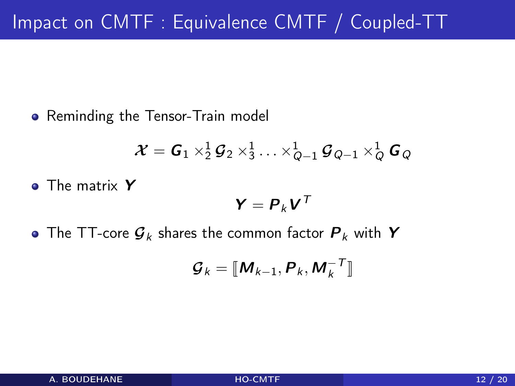<span id="page-11-0"></span>• Reminding the Tensor-Train model

$$
\boldsymbol{\mathcal{X}} = \boldsymbol{G}_1 \times_2^1 \boldsymbol{\mathcal{G}}_2 \times_3^1 \ldots \times_{Q-1}^1 \boldsymbol{\mathcal{G}}_{Q-1} \times_Q^1 \boldsymbol{G}_Q
$$

**o** The matrix Y

$$
\bm{Y} = \bm{P}_k \bm{V}^T
$$

• The TT-core  $\mathcal{G}_k$  shares the common factor  $\mathcal{P}_k$  with Y

$$
\boldsymbol{\mathcal{G}}_k = [\![\boldsymbol{M}_{k-1},\boldsymbol{P}_k,\boldsymbol{M}_k^{-T}]\!]
$$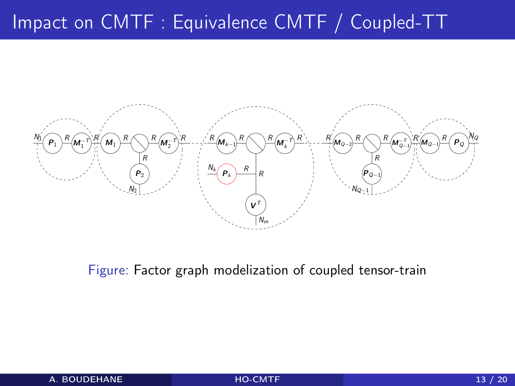# Impact on CMTF : Equivalence CMTF / Coupled-TT



Figure: Factor graph modelization of coupled tensor-train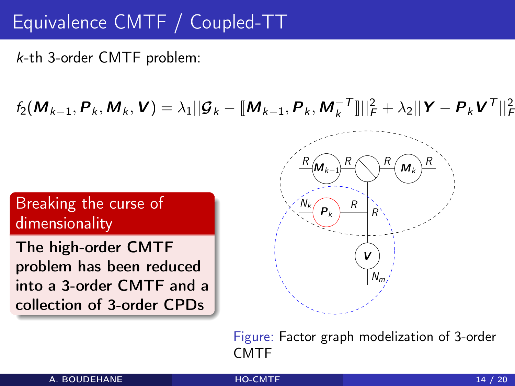## Equivalence CMTF / Coupled-TT

k-th 3-order CMTF problem:

 $f_2(M_{k-1}, P_k, M_k, V) = \lambda_1 ||\mathcal{G}_k - [\![M_{k-1}, P_k, M_k^{-T}]\!]||_F^2 + \lambda_2 ||Y - P_k V^T||_F^2$ 

#### Breaking the curse of dimensionality

The high-order CMTF problem has been reduced into a 3-order CMTF and a collection of 3-order CPDs



Figure: Factor graph modelization of 3-order CMTF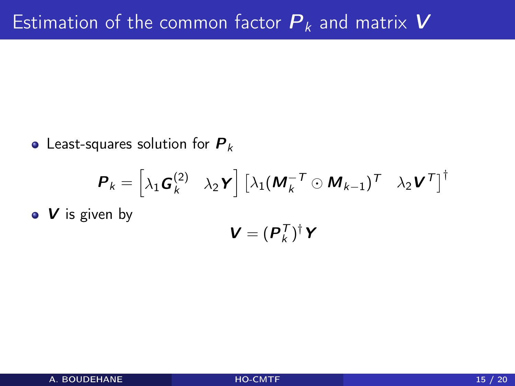• Least-squares solution for  $P_k$ 

$$
\boldsymbol{P}_k = \begin{bmatrix} \lambda_1 \boldsymbol{G}_k^{(2)} & \lambda_2 \boldsymbol{Y} \end{bmatrix} \begin{bmatrix} \lambda_1 (\boldsymbol{M}_k^{-T} \odot \boldsymbol{M}_{k-1})^T & \lambda_2 \boldsymbol{V}^T \end{bmatrix}^\dagger
$$
  
•  $\boldsymbol{V}$  is given by  

$$
\boldsymbol{V} = (\boldsymbol{P}_k^T)^\dagger \boldsymbol{Y}
$$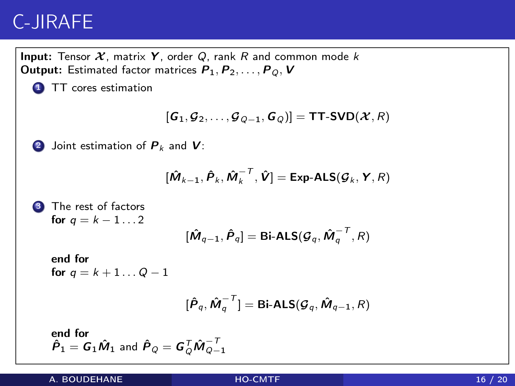### <span id="page-15-0"></span>C-JIRAFE

**Input:** Tensor  $X$ , matrix Y, order Q, rank R and common mode k **Output:** Estimated factor matrices  $P_1, P_2, \ldots, P_Q, V$ **1** TT cores estimation  $[G_1, \mathcal{G}_2, \ldots, \mathcal{G}_{Q-1}, G_Q] = \text{TT-SVD}(\mathcal{X}, R)$ **2** Joint estimation of  $P_k$  and  $V$ :  $[\hat{\bm{M}}_{k-1}, \hat{\bm{P}}_k, \hat{\bm{M}}_k^{-T}, \hat{\bm{V}}] = \textsf{Exp-ALS}(\bm{\mathcal{G}}_k, \bm{Y}, R)$ The rest of factors for  $q = k - 1 \ldots 2$  $[\hat{\bm{M}}_{q-1}, \hat{\bm{P}}_q] = \textsf{Bi-ALS}(\bm{\mathcal{G}}_q, \hat{\bm{M}}_q^{-\bm{\mathcal{T}}}, R)$ end for for  $q = k + 1...Q - 1$  $[\hat{\mathsf{P}}_q,\hat{\mathsf{M}}_q^{-\mathsf{T}}]=\mathsf{Bi}\text{-}\mathsf{ALS}(\boldsymbol{\mathcal{G}}_q,\hat{\mathsf{M}}_{q-1},R)$ end for  $\hat{\boldsymbol{P}}_1 = \boldsymbol{G}_1 \hat{\boldsymbol{M}}_1$  and  $\hat{\boldsymbol{P}}_Q = \boldsymbol{G}_Q^\mathsf{T} \hat{\boldsymbol{M}}_{Q-1}^{-\mathsf{T}}$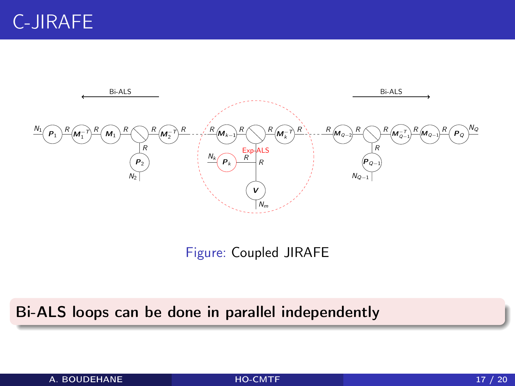

Figure: Coupled JIRAFE

#### Bi-ALS loops can be done in parallel independently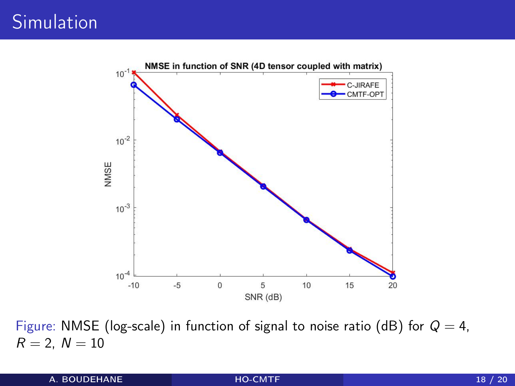<span id="page-17-0"></span>

Figure: NMSE (log-scale) in function of signal to noise ratio (dB) for  $Q = 4$ ,  $R = 2, N = 10$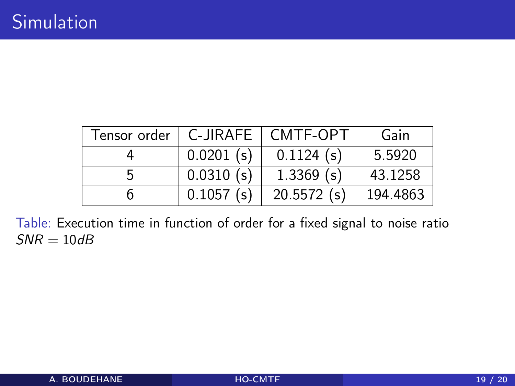| Tensor order | $C$ -JIRAFE $\parallel$ | CMTF-OPT      | Gain     |
|--------------|-------------------------|---------------|----------|
|              | $0.0201$ (s)            | $0.1124$ (s)  | 5.5920   |
|              | 0.0310(s)               | $1.3369$ (s)  | 43.1258  |
|              | $0.1057$ (s)            | $20.5572$ (s) | 194.4863 |

Table: Execution time in function of order for a fixed signal to noise ratio  $SNR = 10dB$